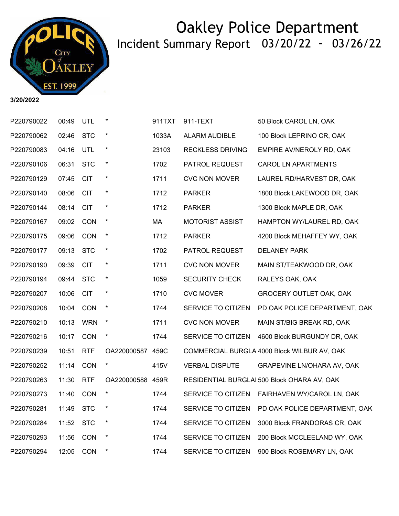

**3/20/2022**

| P220790022 | 00:49 | <b>UTL</b> | $\ast$           | 911TXT | 911-TEXT                | 50 Block CAROL LN, OAK                      |
|------------|-------|------------|------------------|--------|-------------------------|---------------------------------------------|
| P220790062 | 02:46 | <b>STC</b> | $\star$          | 1033A  | ALARM AUDIBLE           | 100 Block LEPRINO CR, OAK                   |
| P220790083 | 04:16 | UTL        | $\star$          | 23103  | <b>RECKLESS DRIVING</b> | EMPIRE AV/NEROLY RD, OAK                    |
| P220790106 | 06:31 | <b>STC</b> | $\star$          | 1702   | PATROL REQUEST          | <b>CAROL LN APARTMENTS</b>                  |
| P220790129 | 07:45 | <b>CIT</b> |                  | 1711   | <b>CVC NON MOVER</b>    | LAUREL RD/HARVEST DR, OAK                   |
| P220790140 | 08:06 | <b>CIT</b> | $\star$          | 1712   | <b>PARKER</b>           | 1800 Block LAKEWOOD DR, OAK                 |
| P220790144 | 08:14 | <b>CIT</b> | $\ast$           | 1712   | <b>PARKER</b>           | 1300 Block MAPLE DR, OAK                    |
| P220790167 | 09:02 | CON        | $\star$          | MA     | <b>MOTORIST ASSIST</b>  | HAMPTON WY/LAUREL RD, OAK                   |
| P220790175 | 09:06 | CON        | $\star$          | 1712   | <b>PARKER</b>           | 4200 Block MEHAFFEY WY, OAK                 |
| P220790177 | 09:13 | <b>STC</b> | $\star$          | 1702   | PATROL REQUEST          | <b>DELANEY PARK</b>                         |
| P220790190 | 09:39 | <b>CIT</b> | $\star$          | 1711   | <b>CVC NON MOVER</b>    | MAIN ST/TEAKWOOD DR, OAK                    |
| P220790194 | 09:44 | <b>STC</b> | $\star$          | 1059   | <b>SECURITY CHECK</b>   | RALEYS OAK, OAK                             |
| P220790207 | 10:06 | <b>CIT</b> | $\star$          | 1710   | <b>CVC MOVER</b>        | GROCERY OUTLET OAK, OAK                     |
| P220790208 | 10:04 | CON        | $\star$          | 1744   | SERVICE TO CITIZEN      | PD OAK POLICE DEPARTMENT, OAK               |
| P220790210 | 10:13 | <b>WRN</b> | $\star$          | 1711   | <b>CVC NON MOVER</b>    | MAIN ST/BIG BREAK RD, OAK                   |
| P220790216 | 10:17 | <b>CON</b> | $\star$          | 1744   | SERVICE TO CITIZEN      | 4600 Block BURGUNDY DR, OAK                 |
| P220790239 | 10:51 | <b>RTF</b> | OA220000587 459C |        |                         | COMMERCIAL BURGLA 4000 Block WILBUR AV, OAK |
| P220790252 | 11:14 | CON        | $\ast$           | 415V   | <b>VERBAL DISPUTE</b>   | GRAPEVINE LN/OHARA AV, OAK                  |
| P220790263 | 11:30 | <b>RTF</b> | OA220000588 459R |        |                         | RESIDENTIAL BURGLAI 500 Block OHARA AV, OAK |
| P220790273 | 11:40 | CON        | $\star$          | 1744   | SERVICE TO CITIZEN      | FAIRHAVEN WY/CAROL LN, OAK                  |
| P220790281 | 11:49 | <b>STC</b> | $\star$          | 1744   | SERVICE TO CITIZEN      | PD OAK POLICE DEPARTMENT, OAK               |
| P220790284 | 11:52 | <b>STC</b> | $\star$          | 1744   | SERVICE TO CITIZEN      | 3000 Block FRANDORAS CR, OAK                |
| P220790293 | 11:56 | CON        | $\star$          | 1744   | SERVICE TO CITIZEN      | 200 Block MCCLEELAND WY, OAK                |
| P220790294 | 12:05 | CON        | $\ast$           | 1744   | SERVICE TO CITIZEN      | 900 Block ROSEMARY LN, OAK                  |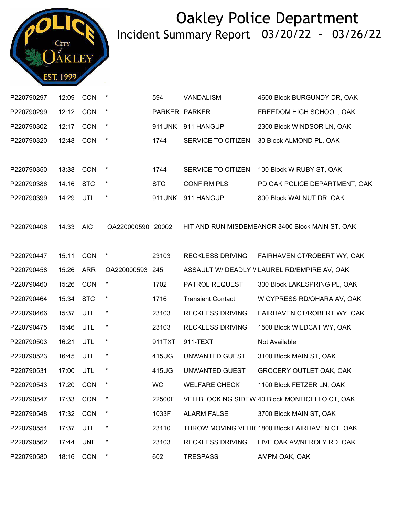

| P220790297 | 12:09     | CON        | $\star$           | 594        | <b>VANDALISM</b>         | 4600 Block BURGUNDY DR, OAK                     |
|------------|-----------|------------|-------------------|------------|--------------------------|-------------------------------------------------|
| P220790299 | 12:12     | CON        | $\star$           |            | PARKER PARKER            | FREEDOM HIGH SCHOOL, OAK                        |
| P220790302 | 12:17     | <b>CON</b> | $\star$           | 911UNK     | 911 HANGUP               | 2300 Block WINDSOR LN, OAK                      |
| P220790320 | 12:48     | <b>CON</b> | $\star$           | 1744       | SERVICE TO CITIZEN       | 30 Block ALMOND PL, OAK                         |
|            |           |            |                   |            |                          |                                                 |
| P220790350 | 13:38     | <b>CON</b> | $\star$           | 1744       | SERVICE TO CITIZEN       | 100 Block W RUBY ST, OAK                        |
| P220790386 | 14:16     | <b>STC</b> | $\star$           | <b>STC</b> | <b>CONFIRM PLS</b>       | PD OAK POLICE DEPARTMENT, OAK                   |
| P220790399 | 14:29     | UTL        | $\star$           | 911UNK     | 911 HANGUP               | 800 Block WALNUT DR, OAK                        |
|            |           |            |                   |            |                          |                                                 |
| P220790406 | 14:33     | <b>AIC</b> | OA220000590 20002 |            |                          | HIT AND RUN MISDEMEANOR 3400 Block MAIN ST, OAK |
|            |           |            |                   |            |                          |                                                 |
| P220790447 | 15:11     | CON        | $\star$           | 23103      | <b>RECKLESS DRIVING</b>  | FAIRHAVEN CT/ROBERT WY, OAK                     |
| P220790458 | 15:26     | <b>ARR</b> | OA220000593 245   |            |                          | ASSAULT W/ DEADLY V LAUREL RD/EMPIRE AV, OAK    |
| P220790460 | 15:26     | CON        | $\star$           | 1702       | PATROL REQUEST           | 300 Block LAKESPRING PL, OAK                    |
| P220790464 | 15:34     | <b>STC</b> | $\star$           | 1716       | <b>Transient Contact</b> | W CYPRESS RD/OHARA AV, OAK                      |
| P220790466 | 15:37     | UTL        | $\star$           | 23103      | <b>RECKLESS DRIVING</b>  | FAIRHAVEN CT/ROBERT WY, OAK                     |
| P220790475 | 15:46     | <b>UTL</b> | $\ast$            | 23103      | <b>RECKLESS DRIVING</b>  | 1500 Block WILDCAT WY, OAK                      |
| P220790503 | 16:21     | UTL        | $\star$           | 911TXT     | 911-TEXT                 | Not Available                                   |
| P220790523 | 16:45     | UTL        | $\star$           | 415UG      | UNWANTED GUEST           | 3100 Block MAIN ST, OAK                         |
| P220790531 | 17:00     | <b>UTL</b> | $\star$           | 415UG      | UNWANTED GUEST           | <b>GROCERY OUTLET OAK, OAK</b>                  |
| P220790543 | 17:20 CON |            | $\star$           | WC.        | <b>WELFARE CHECK</b>     | 1100 Block FETZER LN, OAK                       |
| P220790547 | 17:33     | <b>CON</b> | $\ast$            | 22500F     |                          | VEH BLOCKING SIDEW 40 Block MONTICELLO CT, OAK  |
| P220790548 | 17:32     | <b>CON</b> | $\ast$            | 1033F      | <b>ALARM FALSE</b>       | 3700 Block MAIN ST, OAK                         |
| P220790554 | 17:37     | UTL        | $\ast$            | 23110      |                          | THROW MOVING VEHIC 1800 Block FAIRHAVEN CT, OAK |
| P220790562 | 17:44     | <b>UNF</b> | $\ast$            | 23103      | <b>RECKLESS DRIVING</b>  | LIVE OAK AV/NEROLY RD, OAK                      |
| P220790580 | 18:16     | <b>CON</b> | $\star$           | 602        | <b>TRESPASS</b>          | AMPM OAK, OAK                                   |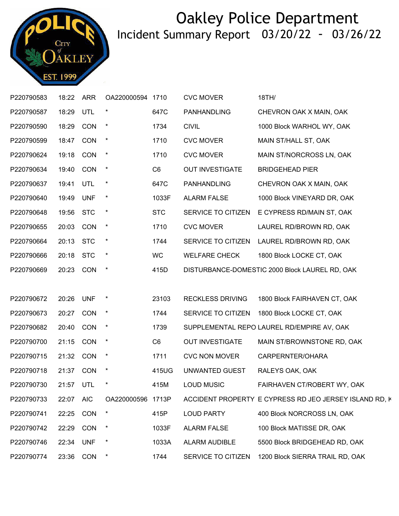

| P220790583 | 18:22 ARR |            | OA220000594       | 1710           | <b>CVC MOVER</b>        | 18TH/                                                  |
|------------|-----------|------------|-------------------|----------------|-------------------------|--------------------------------------------------------|
| P220790587 | 18:29 UTL |            |                   | 647C           | PANHANDLING             | CHEVRON OAK X MAIN, OAK                                |
| P220790590 | 18:29 CON |            | $\star$           | 1734           | <b>CIVIL</b>            | 1000 Block WARHOL WY, OAK                              |
| P220790599 | 18:47     | CON        | $\star$           | 1710           | <b>CVC MOVER</b>        | MAIN ST/HALL ST, OAK                                   |
| P220790624 | 19:18 CON |            | $\star$           | 1710           | <b>CVC MOVER</b>        | MAIN ST/NORCROSS LN, OAK                               |
| P220790634 | 19:40 CON |            | $\star$           | C <sub>6</sub> | <b>OUT INVESTIGATE</b>  | <b>BRIDGEHEAD PIER</b>                                 |
| P220790637 | 19:41     | UTL        | $\ast$            | 647C           | PANHANDLING             | CHEVRON OAK X MAIN, OAK                                |
| P220790640 | 19:49     | <b>UNF</b> | $\star$           | 1033F          | <b>ALARM FALSE</b>      | 1000 Block VINEYARD DR, OAK                            |
| P220790648 | 19:56 STC |            | $\star$           | <b>STC</b>     | SERVICE TO CITIZEN      | E CYPRESS RD/MAIN ST, OAK                              |
| P220790655 | 20:03     | CON        | $\star$           | 1710           | <b>CVC MOVER</b>        | LAUREL RD/BROWN RD, OAK                                |
| P220790664 | 20:13 STC |            | $\star$           | 1744           | SERVICE TO CITIZEN      | LAUREL RD/BROWN RD, OAK                                |
| P220790666 | 20:18 STC |            | $\star$           | WC.            | <b>WELFARE CHECK</b>    | 1800 Block LOCKE CT, OAK                               |
| P220790669 | 20:23 CON |            | $\star$           | 415D           |                         | DISTURBANCE-DOMESTIC 2000 Block LAUREL RD, OAK         |
|            |           |            |                   |                |                         |                                                        |
| P220790672 | 20:26     | UNF        | $\star$           | 23103          | <b>RECKLESS DRIVING</b> | 1800 Block FAIRHAVEN CT, OAK                           |
| P220790673 | 20:27     | <b>CON</b> | $\star$           | 1744           | SERVICE TO CITIZEN      | 1800 Block LOCKE CT, OAK                               |
| P220790682 | 20:40     | CON        | $\star$           | 1739           |                         | SUPPLEMENTAL REPO LAUREL RD/EMPIRE AV, OAK             |
| P220790700 | 21:15 CON |            | $\star$           | C <sub>6</sub> | <b>OUT INVESTIGATE</b>  | MAIN ST/BROWNSTONE RD, OAK                             |
| P220790715 | 21:32 CON |            | $\star$           | 1711           | <b>CVC NON MOVER</b>    | CARPERNTER/OHARA                                       |
| P220790718 | 21:37 CON |            | $\ast$            | 415UG          | UNWANTED GUEST          | RALEYS OAK, OAK                                        |
| P220790730 | 21:57 UTL |            | $\ast$            | 415M           | <b>LOUD MUSIC</b>       | FAIRHAVEN CT/ROBERT WY, OAK                            |
| P220790733 | 22:07     | <b>AIC</b> | OA220000596 1713P |                |                         | ACCIDENT PROPERTY E CYPRESS RD JEO JERSEY ISLAND RD, K |
| P220790741 | 22:25     | <b>CON</b> | $\ast$            | 415P           | <b>LOUD PARTY</b>       | 400 Block NORCROSS LN, OAK                             |
| P220790742 | 22:29     | CON        | $\cdot$           | 1033F          | <b>ALARM FALSE</b>      | 100 Block MATISSE DR, OAK                              |
| P220790746 | 22:34     | <b>UNF</b> |                   | 1033A          | ALARM AUDIBLE           | 5500 Block BRIDGEHEAD RD, OAK                          |
| P220790774 | 23:36     | CON        | $\star$           | 1744           | SERVICE TO CITIZEN      | 1200 Block SIERRA TRAIL RD, OAK                        |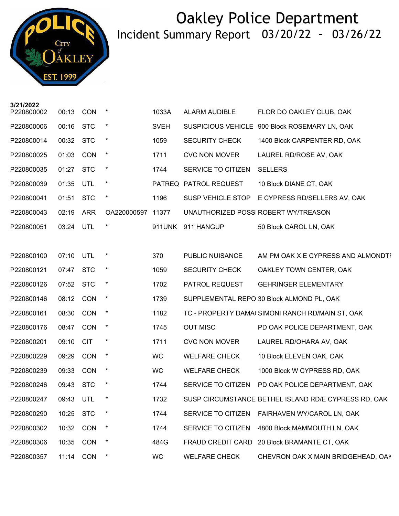

**3/21/2022**

| P220800002 | 00:13     | CON        |                   | 1033A       | <b>ALARM AUDIBLE</b>  | FLOR DO OAKLEY CLUB, OAK                             |
|------------|-----------|------------|-------------------|-------------|-----------------------|------------------------------------------------------|
| P220800006 | 00:16     | <b>STC</b> |                   | <b>SVEH</b> |                       | SUSPICIOUS VEHICLE 900 Block ROSEMARY LN, OAK        |
| P220800014 | 00:32 STC |            | $\star$           | 1059        | <b>SECURITY CHECK</b> | 1400 Block CARPENTER RD, OAK                         |
| P220800025 | 01:03     | <b>CON</b> | $^\star$          | 1711        | <b>CVC NON MOVER</b>  | LAUREL RD/ROSE AV, OAK                               |
| P220800035 | 01:27     | <b>STC</b> | $\star$           | 1744        | SERVICE TO CITIZEN    | <b>SELLERS</b>                                       |
| P220800039 | 01:35 UTL |            | $\star$           |             | PATREQ PATROL REQUEST | 10 Block DIANE CT, OAK                               |
| P220800041 | 01:51     | <b>STC</b> | $\star$           | 1196        |                       | SUSP VEHICLE STOP E CYPRESS RD/SELLERS AV, OAK       |
| P220800043 | 02:19     | <b>ARR</b> | OA220000597 11377 |             |                       | UNAUTHORIZED POSSI ROBERT WY/TREASON                 |
| P220800051 | 03:24 UTL |            | $\star$           | 911UNK      | 911 HANGUP            | 50 Block CAROL LN, OAK                               |
|            |           |            |                   |             |                       |                                                      |
| P220800100 | 07:10     | <b>UTL</b> | $\ast$            | 370         | PUBLIC NUISANCE       | AM PM OAK X E CYPRESS AND ALMONDTI                   |
| P220800121 | 07:47 STC |            | $\star$           | 1059        | <b>SECURITY CHECK</b> | OAKLEY TOWN CENTER, OAK                              |
| P220800126 | 07:52     | <b>STC</b> | $\star$           | 1702        | PATROL REQUEST        | <b>GEHRINGER ELEMENTARY</b>                          |
| P220800146 | 08:12     | CON        | $\star$           | 1739        |                       | SUPPLEMENTAL REPO 30 Block ALMOND PL, OAK            |
| P220800161 | 08:30     | <b>CON</b> | $\star$           | 1182        |                       | TC - PROPERTY DAMA(SIMONI RANCH RD/MAIN ST, OAK      |
| P220800176 | 08:47     | <b>CON</b> | $\star$           | 1745        | <b>OUT MISC</b>       | PD OAK POLICE DEPARTMENT, OAK                        |
| P220800201 | 09:10     | <b>CIT</b> |                   | 1711        | <b>CVC NON MOVER</b>  | LAUREL RD/OHARA AV, OAK                              |
| P220800229 | 09:29     | <b>CON</b> | $\star$           | <b>WC</b>   | <b>WELFARE CHECK</b>  | 10 Block ELEVEN OAK, OAK                             |
| P220800239 | 09:33     | <b>CON</b> | $^\star$          | WC          | <b>WELFARE CHECK</b>  | 1000 Block W CYPRESS RD, OAK                         |
| P220800246 | 09:43     | <b>STC</b> |                   | 1744        | SERVICE TO CITIZEN    | PD OAK POLICE DEPARTMENT, OAK                        |
| P220800247 | 09:43 UTL |            | $\star$           | 1732        |                       | SUSP CIRCUMSTANCE BETHEL ISLAND RD/E CYPRESS RD, OAK |
| P220800290 | 10:25     | <b>STC</b> |                   | 1744        | SERVICE TO CITIZEN    | FAIRHAVEN WY/CAROL LN, OAK                           |
| P220800302 | 10:32     | <b>CON</b> |                   | 1744        | SERVICE TO CITIZEN    | 4800 Block MAMMOUTH LN, OAK                          |
| P220800306 | 10:35     | CON        | $\ast$            | 484G        | FRAUD CREDIT CARD     | 20 Block BRAMANTE CT, OAK                            |
| P220800357 | 11:14     | CON        |                   | WC          | <b>WELFARE CHECK</b>  | CHEVRON OAK X MAIN BRIDGEHEAD, OAK                   |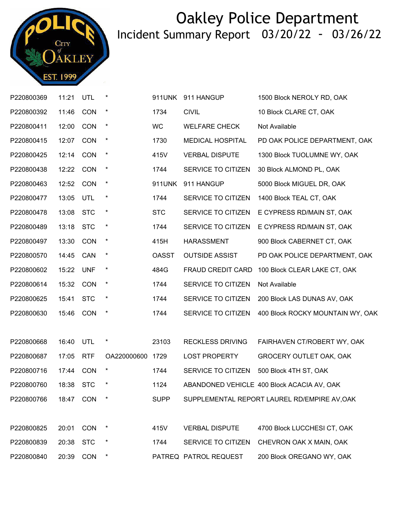

| P220800369 | 11:21     | UTL        | *                | 911UNK       | 911 HANGUP              | 1500 Block NEROLY RD, OAK                    |
|------------|-----------|------------|------------------|--------------|-------------------------|----------------------------------------------|
| P220800392 | 11:46     | CON        | $\star$          | 1734         | <b>CIVIL</b>            | 10 Block CLARE CT, OAK                       |
| P220800411 | 12:00     | CON        | $\star$          | <b>WC</b>    | <b>WELFARE CHECK</b>    | Not Available                                |
| P220800415 | 12:07     | CON        | $\star$          | 1730         | <b>MEDICAL HOSPITAL</b> | PD OAK POLICE DEPARTMENT, OAK                |
| P220800425 | 12:14     | CON        | $\star$          | 415V         | <b>VERBAL DISPUTE</b>   | 1300 Block TUOLUMNE WY, OAK                  |
| P220800438 | 12:22     | CON        | $\star$          | 1744         | SERVICE TO CITIZEN      | 30 Block ALMOND PL, OAK                      |
| P220800463 | 12:52     | CON        | $\star$          | 911UNK       | 911 HANGUP              | 5000 Block MIGUEL DR, OAK                    |
| P220800477 | 13:05     | UTL        | $\star$          | 1744         | SERVICE TO CITIZEN      | 1400 Block TEAL CT, OAK                      |
| P220800478 | 13:08     | <b>STC</b> | $\star$          | <b>STC</b>   | SERVICE TO CITIZEN      | E CYPRESS RD/MAIN ST, OAK                    |
| P220800489 | 13:18     | <b>STC</b> | $\star$          | 1744         | SERVICE TO CITIZEN      | E CYPRESS RD/MAIN ST, OAK                    |
| P220800497 | 13:30     | CON        | $\star$          | 415H         | <b>HARASSMENT</b>       | 900 Block CABERNET CT, OAK                   |
| P220800570 | 14:45     | CAN        | $\star$          | <b>OASST</b> | <b>OUTSIDE ASSIST</b>   | PD OAK POLICE DEPARTMENT, OAK                |
| P220800602 | 15:22     | <b>UNF</b> | $\star$          | 484G         | FRAUD CREDIT CARD       | 100 Block CLEAR LAKE CT, OAK                 |
| P220800614 | 15:32     | CON        | $\star$          | 1744         | SERVICE TO CITIZEN      | Not Available                                |
| P220800625 | 15:41     | <b>STC</b> | $\star$          | 1744         | SERVICE TO CITIZEN      | 200 Block LAS DUNAS AV, OAK                  |
| P220800630 | 15:46     | <b>CON</b> | $\star$          | 1744         | SERVICE TO CITIZEN      | 400 Block ROCKY MOUNTAIN WY, OAK             |
|            |           |            |                  |              |                         |                                              |
| P220800668 | 16:40     | <b>UTL</b> | $\star$          | 23103        | <b>RECKLESS DRIVING</b> | FAIRHAVEN CT/ROBERT WY, OAK                  |
| P220800687 | 17:05     | <b>RTF</b> | OA220000600 1729 |              | <b>LOST PROPERTY</b>    | GROCERY OUTLET OAK, OAK                      |
| P220800716 | 17:44     | CON        | $\star$          | 1744         | SERVICE TO CITIZEN      | 500 Block 4TH ST, OAK                        |
| P220800760 | 18:38 STC |            | $^\star$         | 1124         |                         | ABANDONED VEHICLE 400 Block ACACIA AV, OAK   |
| P220800766 | 18:47     | <b>CON</b> |                  | <b>SUPP</b>  |                         | SUPPLEMENTAL REPORT LAUREL RD/EMPIRE AV, OAK |
|            |           |            |                  |              |                         |                                              |
| P220800825 | 20:01     | <b>CON</b> | $\ast$           | 415V         | <b>VERBAL DISPUTE</b>   | 4700 Block LUCCHESI CT, OAK                  |
| P220800839 | 20:38     | <b>STC</b> | $\ast$           | 1744         | SERVICE TO CITIZEN      | CHEVRON OAK X MAIN, OAK                      |
| P220800840 | 20:39     | CON        | $\ast$           |              | PATREQ PATROL REQUEST   | 200 Block OREGANO WY, OAK                    |
|            |           |            |                  |              |                         |                                              |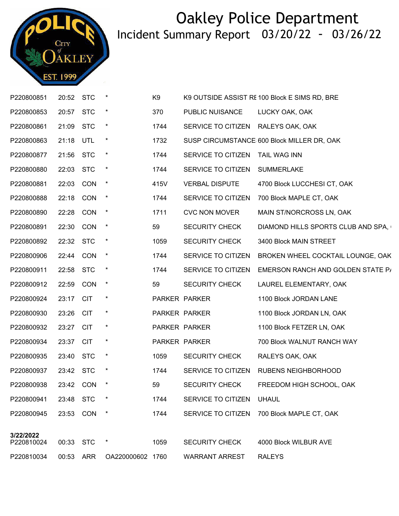

| P220800851              | 20:52 STC |            | $\star$          | K <sub>9</sub> |                                    | K9 OUTSIDE ASSIST RE 100 Block E SIMS RD, BRE |
|-------------------------|-----------|------------|------------------|----------------|------------------------------------|-----------------------------------------------|
| P220800853              | 20:57 STC |            | $\ast$           | 370            | PUBLIC NUISANCE                    | LUCKY OAK, OAK                                |
| P220800861              | 21:09     | <b>STC</b> | $\star$          | 1744           | SERVICE TO CITIZEN RALEYS OAK, OAK |                                               |
| P220800863              | 21:18     | UTL        | $\star$          | 1732           |                                    | SUSP CIRCUMSTANCE 600 Block MILLER DR, OAK    |
| P220800877              | 21:56 STC |            | $\ast$           | 1744           | SERVICE TO CITIZEN                 | <b>TAIL WAG INN</b>                           |
| P220800880              | 22:03 STC |            | $\star$          | 1744           | SERVICE TO CITIZEN                 | <b>SUMMERLAKE</b>                             |
| P220800881              | 22:03     | <b>CON</b> | $\star$          | 415V           | <b>VERBAL DISPUTE</b>              | 4700 Block LUCCHESI CT, OAK                   |
| P220800888              | 22:18     | <b>CON</b> | $\star$          | 1744           | SERVICE TO CITIZEN                 | 700 Block MAPLE CT, OAK                       |
| P220800890              | 22:28     | CON        | $\star$          | 1711           | <b>CVC NON MOVER</b>               | MAIN ST/NORCROSS LN, OAK                      |
| P220800891              | 22:30     | <b>CON</b> | $\star$          | 59             | <b>SECURITY CHECK</b>              | DIAMOND HILLS SPORTS CLUB AND SPA,            |
| P220800892              | 22:32 STC |            | $\star$          | 1059           | <b>SECURITY CHECK</b>              | 3400 Block MAIN STREET                        |
| P220800906              | 22:44 CON |            | $\star$          | 1744           | SERVICE TO CITIZEN                 | BROKEN WHEEL COCKTAIL LOUNGE, OAK             |
| P220800911              | 22:58     | <b>STC</b> | $\star$          | 1744           | SERVICE TO CITIZEN                 | EMERSON RANCH AND GOLDEN STATE P/             |
| P220800912              | 22:59     | <b>CON</b> | $\star$          | 59             | <b>SECURITY CHECK</b>              | LAUREL ELEMENTARY, OAK                        |
| P220800924              | 23:17 CIT |            | $\ast$           |                | PARKER PARKER                      | 1100 Block JORDAN LANE                        |
| P220800930              | 23:26     | <b>CIT</b> | $\ast$           |                | PARKER PARKER                      | 1100 Block JORDAN LN, OAK                     |
| P220800932              | 23:27 CIT |            | $\ast$           |                | PARKER PARKER                      | 1100 Block FETZER LN, OAK                     |
| P220800934              | 23:37 CIT |            | $\ast$           |                | PARKER PARKER                      | 700 Block WALNUT RANCH WAY                    |
| P220800935              | 23:40     | <b>STC</b> | $\star$          | 1059           | <b>SECURITY CHECK</b>              | RALEYS OAK, OAK                               |
| P220800937              | 23:42 STC |            | $\ast$           | 1744           | SERVICE TO CITIZEN                 | RUBENS NEIGHBORHOOD                           |
| P220800938              | 23:42 CON |            | $\star$          | 59             | <b>SECURITY CHECK</b>              | FREEDOM HIGH SCHOOL, OAK                      |
| P220800941              | 23:48     | <b>STC</b> |                  | 1744           | SERVICE TO CITIZEN                 | <b>UHAUL</b>                                  |
| P220800945              | 23:53     | CON        | $\star$          | 1744           | SERVICE TO CITIZEN                 | 700 Block MAPLE CT, OAK                       |
|                         |           |            |                  |                |                                    |                                               |
| 3/22/2022<br>P220810024 | 00:33     | <b>STC</b> | $\ast$           | 1059           | <b>SECURITY CHECK</b>              | 4000 Block WILBUR AVE                         |
| P220810034              | 00:53     | ARR        | OA220000602 1760 |                | <b>WARRANT ARREST</b>              | <b>RALEYS</b>                                 |
|                         |           |            |                  |                |                                    |                                               |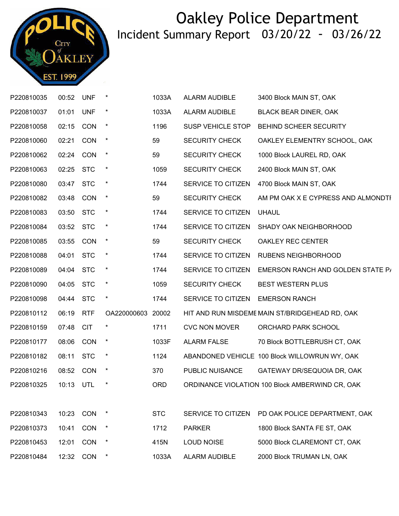

| P220810035 | 00:52     | <b>UNF</b> | $\ast$            | 1033A      | <b>ALARM AUDIBLE</b>     | 3400 Block MAIN ST, OAK                         |
|------------|-----------|------------|-------------------|------------|--------------------------|-------------------------------------------------|
| P220810037 | 01:01     | <b>UNF</b> | $\star$           | 1033A      | ALARM AUDIBLE            | <b>BLACK BEAR DINER, OAK</b>                    |
| P220810058 | 02:15     | CON        | $\star$           | 1196       | <b>SUSP VEHICLE STOP</b> | BEHIND SCHEER SECURITY                          |
| P220810060 | 02:21     | <b>CON</b> | $\star$           | 59         | <b>SECURITY CHECK</b>    | OAKLEY ELEMENTRY SCHOOL, OAK                    |
| P220810062 | 02:24     | CON        | $\star$           | 59         | <b>SECURITY CHECK</b>    | 1000 Block LAUREL RD, OAK                       |
| P220810063 | 02:25 STC |            | $\star$           | 1059       | <b>SECURITY CHECK</b>    | 2400 Block MAIN ST, OAK                         |
| P220810080 | 03:47     | <b>STC</b> | $^\star$          | 1744       | SERVICE TO CITIZEN       | 4700 Block MAIN ST, OAK                         |
| P220810082 | 03:48     | CON        | $\star$           | 59         | <b>SECURITY CHECK</b>    | AM PM OAK X E CYPRESS AND ALMONDTI              |
| P220810083 | 03:50 STC |            | $\star$           | 1744       | SERVICE TO CITIZEN       | <b>UHAUL</b>                                    |
| P220810084 | 03:52     | <b>STC</b> | $\star$           | 1744       | SERVICE TO CITIZEN       | SHADY OAK NEIGHBORHOOD                          |
| P220810085 | 03:55     | <b>CON</b> | $\star$           | 59         | <b>SECURITY CHECK</b>    | OAKLEY REC CENTER                               |
| P220810088 | 04:01 STC |            | $\star$           | 1744       | SERVICE TO CITIZEN       | <b>RUBENS NEIGHBORHOOD</b>                      |
| P220810089 | 04:04 STC |            | $\star$           | 1744       | SERVICE TO CITIZEN       | EMERSON RANCH AND GOLDEN STATE P/               |
| P220810090 | 04:05     | <b>STC</b> | $\star$           | 1059       | <b>SECURITY CHECK</b>    | <b>BEST WESTERN PLUS</b>                        |
| P220810098 | 04:44 STC |            | $\star$           | 1744       | SERVICE TO CITIZEN       | <b>EMERSON RANCH</b>                            |
| P220810112 | 06:19     | <b>RTF</b> | OA220000603 20002 |            |                          | HIT AND RUN MISDEME MAIN ST/BRIDGEHEAD RD, OAK  |
| P220810159 | 07:48     | <b>CIT</b> |                   | 1711       | <b>CVC NON MOVER</b>     | ORCHARD PARK SCHOOL                             |
| P220810177 | 08:06 CON |            | $\star$           | 1033F      | <b>ALARM FALSE</b>       | 70 Block BOTTLEBRUSH CT, OAK                    |
| P220810182 | 08:11     | <b>STC</b> | $\star$           | 1124       |                          | ABANDONED VEHICLE 100 Block WILLOWRUN WY, OAK   |
| P220810216 | 08:52 CON |            | $\star$           | 370        | PUBLIC NUISANCE          | GATEWAY DR/SEQUOIA DR, OAK                      |
| P220810325 | 10:13 UTL |            | $\ast$            | <b>ORD</b> |                          | ORDINANCE VIOLATION 100 Block AMBERWIND CR, OAK |
|            |           |            |                   |            |                          |                                                 |
| P220810343 | 10:23     | CON        |                   | <b>STC</b> | SERVICE TO CITIZEN       | PD OAK POLICE DEPARTMENT, OAK                   |
| P220810373 | 10:41     | CON        | $\ast$            | 1712       | <b>PARKER</b>            | 1800 Block SANTA FE ST, OAK                     |
| P220810453 | 12:01     | CON        | $^\star$          | 415N       | <b>LOUD NOISE</b>        | 5000 Block CLAREMONT CT, OAK                    |
| P220810484 | 12:32     | CON        |                   | 1033A      | ALARM AUDIBLE            | 2000 Block TRUMAN LN, OAK                       |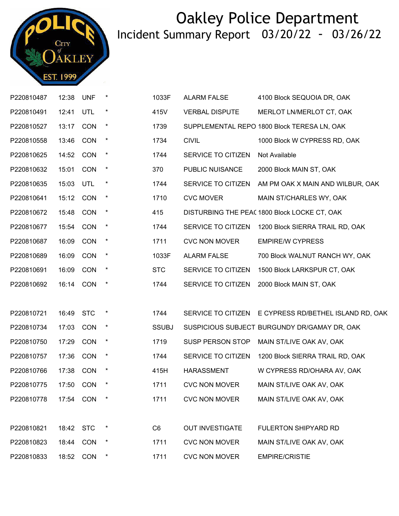

| P220810487 | 12:38     | <b>UNF</b> | $\ast$  | 1033F          | <b>ALARM FALSE</b>     | 4100 Block SEQUOIA DR, OAK                            |
|------------|-----------|------------|---------|----------------|------------------------|-------------------------------------------------------|
| P220810491 | 12:41     | UTL        | $\star$ | 415V           | <b>VERBAL DISPUTE</b>  | MERLOT LN/MERLOT CT, OAK                              |
| P220810527 | 13:17     | CON        | $\ast$  | 1739           |                        | SUPPLEMENTAL REPO 1800 Block TERESA LN, OAK           |
| P220810558 | 13:46     | <b>CON</b> | $\star$ | 1734           | <b>CIVIL</b>           | 1000 Block W CYPRESS RD, OAK                          |
| P220810625 | 14:52     | <b>CON</b> | $\star$ | 1744           | SERVICE TO CITIZEN     | Not Available                                         |
| P220810632 | 15:01     | CON        | $\star$ | 370            | PUBLIC NUISANCE        | 2000 Block MAIN ST, OAK                               |
| P220810635 | 15:03     | UTL        | $\star$ | 1744           | SERVICE TO CITIZEN     | AM PM OAK X MAIN AND WILBUR, OAK                      |
| P220810641 | 15:12     | CON        | $\star$ | 1710           | <b>CVC MOVER</b>       | MAIN ST/CHARLES WY, OAK                               |
| P220810672 | 15:48     | <b>CON</b> | $\star$ | 415            |                        | DISTURBING THE PEA( 1800 Block LOCKE CT, OAK          |
| P220810677 | 15:54     | <b>CON</b> | $\star$ | 1744           | SERVICE TO CITIZEN     | 1200 Block SIERRA TRAIL RD, OAK                       |
| P220810687 | 16:09     | CON        | $\star$ | 1711           | <b>CVC NON MOVER</b>   | <b>EMPIRE/W CYPRESS</b>                               |
| P220810689 | 16:09     | CON        | $\star$ | 1033F          | <b>ALARM FALSE</b>     | 700 Block WALNUT RANCH WY, OAK                        |
| P220810691 | 16:09     | <b>CON</b> | $\star$ | <b>STC</b>     | SERVICE TO CITIZEN     | 1500 Block LARKSPUR CT, OAK                           |
| P220810692 | 16:14     | <b>CON</b> | $\ast$  | 1744           | SERVICE TO CITIZEN     | 2000 Block MAIN ST, OAK                               |
|            |           |            |         |                |                        |                                                       |
| P220810721 | 16:49     | <b>STC</b> | $\ast$  | 1744           |                        | SERVICE TO CITIZEN E CYPRESS RD/BETHEL ISLAND RD, OAK |
| P220810734 | 17:03     | CON        | $\ast$  | <b>SSUBJ</b>   |                        | SUSPICIOUS SUBJECT BURGUNDY DR/GAMAY DR, OAK          |
| P220810750 | 17:29     | CON        | $\star$ | 1719           | SUSP PERSON STOP       | MAIN ST/LIVE OAK AV, OAK                              |
| P220810757 | 17:36     | CON        | $\star$ | 1744           | SERVICE TO CITIZEN     | 1200 Block SIERRA TRAIL RD, OAK                       |
| P220810766 | 17:38     | CON        | $\star$ | 415H           | <b>HARASSMENT</b>      | W CYPRESS RD/OHARA AV, OAK                            |
| P220810775 | 17:50     | <b>CON</b> | $\ast$  | 1711           | <b>CVC NON MOVER</b>   | MAIN ST/LIVE OAK AV, OAK                              |
| P220810778 | 17:54     | <b>CON</b> |         | 1711           | <b>CVC NON MOVER</b>   | MAIN ST/LIVE OAK AV, OAK                              |
|            |           |            |         |                |                        |                                                       |
| P220810821 | 18:42 STC |            | $\ast$  | C <sub>6</sub> | <b>OUT INVESTIGATE</b> | <b>FULERTON SHIPYARD RD</b>                           |
| P220810823 | 18:44     | <b>CON</b> | $\ast$  | 1711           | <b>CVC NON MOVER</b>   | MAIN ST/LIVE OAK AV, OAK                              |
| P220810833 | 18:52     | <b>CON</b> |         | 1711           | <b>CVC NON MOVER</b>   | <b>EMPIRE/CRISTIE</b>                                 |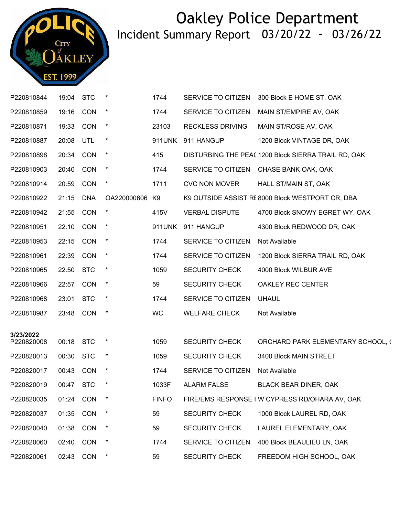

| P220810844              | 19:04     | <b>STC</b> |                | 1744         | SERVICE TO CITIZEN      | 300 Block E HOME ST, OAK                           |
|-------------------------|-----------|------------|----------------|--------------|-------------------------|----------------------------------------------------|
| P220810859              | 19:16     | <b>CON</b> | $\star$        | 1744         | SERVICE TO CITIZEN      | MAIN ST/EMPIRE AV, OAK                             |
| P220810871              | 19:33     | <b>CON</b> | $\star$        | 23103        | <b>RECKLESS DRIVING</b> | MAIN ST/ROSE AV, OAK                               |
| P220810887              | 20:08     | UTL        | $\star$        | 911UNK       | 911 HANGUP              | 1200 Block VINTAGE DR, OAK                         |
| P220810898              | 20:34     | <b>CON</b> | $\star$        | 415          |                         | DISTURBING THE PEA(1200 Block SIERRA TRAIL RD, OAK |
| P220810903              | 20:40     | <b>CON</b> | $\star$        | 1744         | SERVICE TO CITIZEN      | CHASE BANK OAK, OAK                                |
| P220810914              | 20:59     | <b>CON</b> | $\ast$         | 1711         | <b>CVC NON MOVER</b>    | HALL ST/MAIN ST, OAK                               |
| P220810922              | 21:15     | <b>DNA</b> | OA220000606 K9 |              |                         | K9 OUTSIDE ASSIST RE 8000 Block WESTPORT CR, DBA   |
| P220810942              | 21:55     | <b>CON</b> | $\ast$         | 415V         | <b>VERBAL DISPUTE</b>   | 4700 Block SNOWY EGRET WY, OAK                     |
| P220810951              | 22:10     | CON        | $\star$        | 911UNK       | 911 HANGUP              | 4300 Block REDWOOD DR, OAK                         |
| P220810953              | 22:15     | CON        | $\star$        | 1744         | SERVICE TO CITIZEN      | Not Available                                      |
| P220810961              | 22:39     | <b>CON</b> | $\star$        | 1744         | SERVICE TO CITIZEN      | 1200 Block SIERRA TRAIL RD, OAK                    |
| P220810965              | 22:50     | <b>STC</b> | $\ast$         | 1059         | <b>SECURITY CHECK</b>   | 4000 Block WILBUR AVE                              |
| P220810966              | 22:57     | <b>CON</b> | $\ast$         | 59           | <b>SECURITY CHECK</b>   | OAKLEY REC CENTER                                  |
| P220810968              | 23:01     | <b>STC</b> | $\ast$         | 1744         | SERVICE TO CITIZEN      | <b>UHAUL</b>                                       |
| P220810987              | 23:48     | <b>CON</b> | $\ast$         | <b>WC</b>    | <b>WELFARE CHECK</b>    | Not Available                                      |
|                         |           |            |                |              |                         |                                                    |
| 3/23/2022<br>P220820008 | 00:18 STC |            | $\ast$         | 1059         | <b>SECURITY CHECK</b>   | ORCHARD PARK ELEMENTARY SCHOOL, (                  |
| P220820013              | 00:30     | <b>STC</b> | $\ast$         | 1059         | <b>SECURITY CHECK</b>   | 3400 Block MAIN STREET                             |
| P220820017              | 00:43     | <b>CON</b> | $\ast$         | 1744         | SERVICE TO CITIZEN      | Not Available                                      |
| P220820019              | 00:47 STC |            |                | 1033F        | <b>ALARM FALSE</b>      | <b>BLACK BEAR DINER, OAK</b>                       |
| P220820035              | 01:24     | <b>CON</b> |                | <b>FINFO</b> |                         | FIRE/EMS RESPONSE I W CYPRESS RD/OHARA AV, OAK     |
| P220820037              | 01:35     | CON        |                | 59           | <b>SECURITY CHECK</b>   | 1000 Block LAUREL RD, OAK                          |
| P220820040              | 01:38     | CON        |                | 59           | <b>SECURITY CHECK</b>   | LAUREL ELEMENTARY, OAK                             |
| P220820060              | 02:40     | CON        |                | 1744         | SERVICE TO CITIZEN      | 400 Block BEAULIEU LN, OAK                         |
| P220820061              | 02:43     | <b>CON</b> |                | 59           | <b>SECURITY CHECK</b>   | FREEDOM HIGH SCHOOL, OAK                           |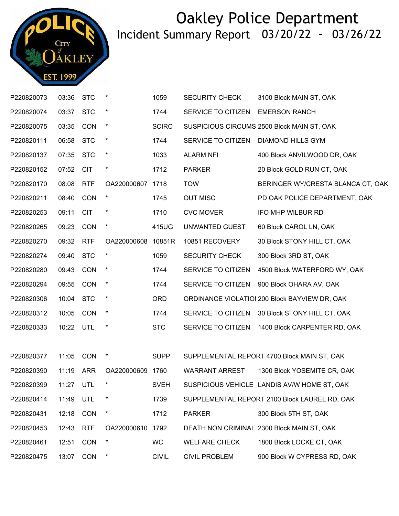

| P220820073 | 03:36     | <b>STC</b> | $\star$     | 1059         | <b>SECURITY CHECK</b> | 3100 Block MAIN ST, OAK                       |
|------------|-----------|------------|-------------|--------------|-----------------------|-----------------------------------------------|
| P220820074 | 03:37     | <b>STC</b> | $\star$     | 1744         | SERVICE TO CITIZEN    | <b>EMERSON RANCH</b>                          |
| P220820075 | 03:35     | <b>CON</b> | $\star$     | <b>SCIRC</b> |                       | SUSPICIOUS CIRCUMS 2500 Block MAIN ST, OAK    |
| P220820111 | 06:58     | <b>STC</b> | $\ast$      | 1744         | SERVICE TO CITIZEN    | <b>DIAMOND HILLS GYM</b>                      |
| P220820137 | 07:35 STC |            | $\star$     | 1033         | <b>ALARM NFI</b>      | 400 Block ANVILWOOD DR, OAK                   |
| P220820152 | 07:52     | <b>CIT</b> | $\star$     | 1712         | <b>PARKER</b>         | 20 Block GOLD RUN CT, OAK                     |
| P220820170 | 08:08     | <b>RTF</b> | OA220000607 | 1718         | <b>TOW</b>            | BERINGER WY/CRESTA BLANCA CT, OAK             |
| P220820211 | 08:40     | <b>CON</b> | $\ast$      | 1745         | <b>OUT MISC</b>       | PD OAK POLICE DEPARTMENT, OAK                 |
| P220820253 | 09:11     | <b>CIT</b> | $\ast$      | 1710         | <b>CVC MOVER</b>      | IFO MHP WILBUR RD                             |
| P220820265 | 09:23     | <b>CON</b> | $\star$     | 415UG        | UNWANTED GUEST        | 60 Block CAROL LN, OAK                        |
| P220820270 | 09:32     | <b>RTF</b> | OA220000608 | 10851R       | 10851 RECOVERY        | 30 Block STONY HILL CT, OAK                   |
| P220820274 | 09:40     | <b>STC</b> | $\star$     | 1059         | <b>SECURITY CHECK</b> | 300 Block 3RD ST, OAK                         |
| P220820280 | 09:43     | CON        | $\ast$      | 1744         | SERVICE TO CITIZEN    | 4500 Block WATERFORD WY, OAK                  |
| P220820294 | 09:55     | CON        | $\star$     | 1744         | SERVICE TO CITIZEN    | 900 Block OHARA AV, OAK                       |
| P220820306 | 10:04     | <b>STC</b> | $\ast$      | <b>ORD</b>   |                       | ORDINANCE VIOLATIOI 200 Block BAYVIEW DR, OAK |
| P220820312 | 10:05     | <b>CON</b> | $\ast$      | 1744         | SERVICE TO CITIZEN    | 30 Block STONY HILL CT, OAK                   |
| P220820333 | 10:22 UTL |            | $\ast$      | <b>STC</b>   | SERVICE TO CITIZEN    | 1400 Block CARPENTER RD, OAK                  |
|            |           |            |             |              |                       |                                               |
| P220820377 | 11:05     | <b>CON</b> | $\ast$      | <b>SUPP</b>  |                       | SUPPLEMENTAL REPORT 4700 Block MAIN ST, OAK   |
| P220820390 | 11:19     | <b>ARR</b> | OA220000609 | 1760         | <b>WARRANT ARREST</b> | 1300 Block YOSEMITE CR, OAK                   |
| P220820399 | 11:27     | UTL        | $\star$     | <b>SVEH</b>  |                       | SUSPICIOUS VEHICLE LANDIS AV/W HOME ST, OAK   |
| P220820414 | 11:49     | UTL        | ×           | 1739         |                       | SUPPLEMENTAL REPORT 2100 Block LAUREL RD, OAK |
| P220820431 | 12:18     | CON        | $\star$     | 1712         | <b>PARKER</b>         | 300 Block 5TH ST, OAK                         |
| P220820453 | 12:43     | <b>RTF</b> | OA220000610 | 1792         |                       | DEATH NON CRIMINAL 2300 Block MAIN ST, OAK    |
| P220820461 | 12:51     | CON        | $\ast$      | <b>WC</b>    | <b>WELFARE CHECK</b>  | 1800 Block LOCKE CT, OAK                      |
| P220820475 | 13:07     | <b>CON</b> | $\ast$      | <b>CIVIL</b> | <b>CIVIL PROBLEM</b>  | 900 Block W CYPRESS RD, OAK                   |
|            |           |            |             |              |                       |                                               |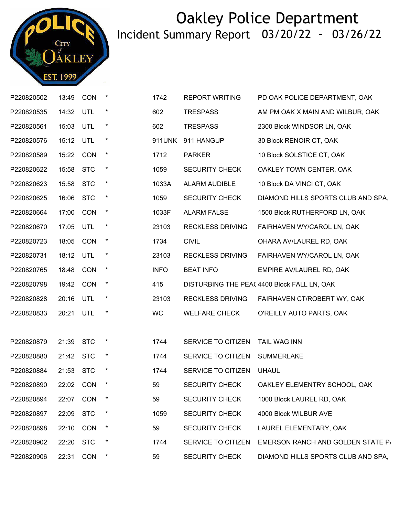

| P220820502 | 13:49     | CON        | $\ast$  | 1742        | <b>REPORT WRITING</b>   | PD OAK POLICE DEPARTMENT, OAK              |
|------------|-----------|------------|---------|-------------|-------------------------|--------------------------------------------|
| P220820535 | 14:32     | UTL        | $\ast$  | 602         | <b>TRESPASS</b>         | AM PM OAK X MAIN AND WILBUR, OAK           |
| P220820561 | 15:03 UTL |            | $\star$ | 602         | <b>TRESPASS</b>         | 2300 Block WINDSOR LN, OAK                 |
| P220820576 | 15:12 UTL |            | $\star$ |             | 911UNK 911 HANGUP       | 30 Block RENOIR CT, OAK                    |
| P220820589 | 15:22     | CON        | $\star$ | 1712        | <b>PARKER</b>           | 10 Block SOLSTICE CT, OAK                  |
| P220820622 | 15:58 STC |            | $\star$ | 1059        | <b>SECURITY CHECK</b>   | OAKLEY TOWN CENTER, OAK                    |
| P220820623 | 15:58     | <b>STC</b> | $\star$ | 1033A       | ALARM AUDIBLE           | 10 Block DA VINCI CT, OAK                  |
| P220820625 | 16:06     | <b>STC</b> | $\ast$  | 1059        | <b>SECURITY CHECK</b>   | DIAMOND HILLS SPORTS CLUB AND SPA,         |
| P220820664 | 17:00     | CON        | $\star$ | 1033F       | <b>ALARM FALSE</b>      | 1500 Block RUTHERFORD LN, OAK              |
| P220820670 | 17:05     | UTL        | $\star$ | 23103       | <b>RECKLESS DRIVING</b> | FAIRHAVEN WY/CAROL LN, OAK                 |
| P220820723 | 18:05     | <b>CON</b> | $\star$ | 1734        | <b>CIVIL</b>            | OHARA AV/LAUREL RD, OAK                    |
| P220820731 | 18:12 UTL |            | $\star$ | 23103       | <b>RECKLESS DRIVING</b> | FAIRHAVEN WY/CAROL LN, OAK                 |
| P220820765 | 18:48 CON |            | $\star$ | <b>INFO</b> | <b>BEAT INFO</b>        | EMPIRE AV/LAUREL RD, OAK                   |
| P220820798 | 19:42 CON |            | $\star$ | 415         |                         | DISTURBING THE PEA(4400 Block FALL LN, OAK |
| P220820828 | 20:16 UTL |            | $\ast$  | 23103       | <b>RECKLESS DRIVING</b> | FAIRHAVEN CT/ROBERT WY, OAK                |
| P220820833 | 20:21 UTL |            | $\star$ | WC          | <b>WELFARE CHECK</b>    | O'REILLY AUTO PARTS, OAK                   |
|            |           |            |         |             |                         |                                            |
| P220820879 | 21:39 STC |            | $\ast$  | 1744        | SERVICE TO CITIZEN      | <b>TAIL WAG INN</b>                        |
| P220820880 | 21:42 STC |            | $\star$ | 1744        | SERVICE TO CITIZEN      | <b>SUMMERLAKE</b>                          |
| P220820884 | 21:53 STC |            | $\ast$  | 1744        | SERVICE TO CITIZEN      | <b>UHAUL</b>                               |
| P220820890 | 22:02 CON |            | $\ast$  | 59          | <b>SECURITY CHECK</b>   | OAKLEY ELEMENTRY SCHOOL, OAK               |
| P220820894 | 22:07     | CON        |         | 59          | <b>SECURITY CHECK</b>   | 1000 Block LAUREL RD, OAK                  |
| P220820897 | 22:09     | <b>STC</b> | $\ast$  | 1059        | <b>SECURITY CHECK</b>   | 4000 Block WILBUR AVE                      |
| P220820898 | 22:10     | CON        | $\ast$  | 59          | <b>SECURITY CHECK</b>   | LAUREL ELEMENTARY, OAK                     |
| P220820902 | 22:20     | <b>STC</b> | $\ast$  | 1744        | SERVICE TO CITIZEN      | EMERSON RANCH AND GOLDEN STATE P/          |
| P220820906 | 22:31     | CON        | $\ast$  | 59          | <b>SECURITY CHECK</b>   | DIAMOND HILLS SPORTS CLUB AND SPA,         |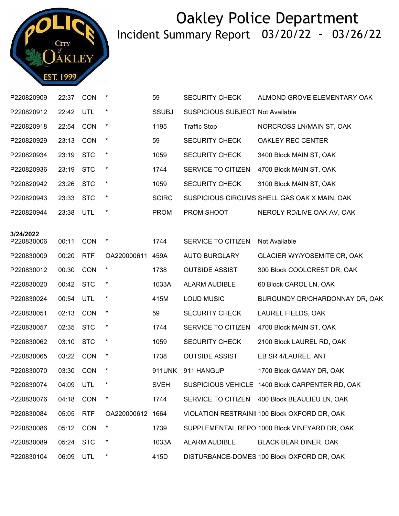

| P220820909              | 22:37     | CON        | $\ast$           | 59           | <b>SECURITY CHECK</b>                   | ALMOND GROVE ELEMENTARY OAK                     |
|-------------------------|-----------|------------|------------------|--------------|-----------------------------------------|-------------------------------------------------|
| P220820912              | 22:42     | UTL        | $\star$          | <b>SSUBJ</b> | <b>SUSPICIOUS SUBJECT Not Available</b> |                                                 |
| P220820918              | 22:54     | CON        | $\ast$           | 1195         | <b>Traffic Stop</b>                     | NORCROSS LN/MAIN ST, OAK                        |
| P220820929              | 23:13     | <b>CON</b> | $\ast$           | 59           | <b>SECURITY CHECK</b>                   | OAKLEY REC CENTER                               |
| P220820934              | 23:19     | <b>STC</b> | $\ast$           | 1059         | <b>SECURITY CHECK</b>                   | 3400 Block MAIN ST, OAK                         |
| P220820936              | 23:19     | <b>STC</b> | $\ast$           | 1744         | SERVICE TO CITIZEN                      | 4700 Block MAIN ST, OAK                         |
| P220820942              | 23:26     | <b>STC</b> | $\ast$           | 1059         | <b>SECURITY CHECK</b>                   | 3100 Block MAIN ST, OAK                         |
| P220820943              | 23:33     | <b>STC</b> | $\star$          | <b>SCIRC</b> |                                         | SUSPICIOUS CIRCUMS SHELL GAS OAK X MAIN, OAK    |
| P220820944              | 23:38     | <b>UTL</b> | $\ast$           | <b>PROM</b>  | PROM SHOOT                              | NEROLY RD/LIVE OAK AV, OAK                      |
|                         |           |            |                  |              |                                         |                                                 |
| 3/24/2022<br>P220830006 | 00:11     | <b>CON</b> | $\ast$           | 1744         | SERVICE TO CITIZEN                      | Not Available                                   |
| P220830009              | 00:20     | <b>RTF</b> | OA220000611      | 459A         | <b>AUTO BURGLARY</b>                    | <b>GLACIER WY/YOSEMITE CR, OAK</b>              |
| P220830012              | 00:30     | CON        | $\star$          | 1738         | <b>OUTSIDE ASSIST</b>                   | 300 Block COOLCREST DR, OAK                     |
| P220830020              | 00:42     | <b>STC</b> | $\ast$           | 1033A        | ALARM AUDIBLE                           | 60 Block CAROL LN, OAK                          |
| P220830024              | 00:54     | <b>UTL</b> | $^\ast$          | 415M         | <b>LOUD MUSIC</b>                       | BURGUNDY DR/CHARDONNAY DR, OAK                  |
| P220830051              | 02:13     | CON        | $\ast$           | 59           | <b>SECURITY CHECK</b>                   | LAUREL FIELDS, OAK                              |
| P220830057              | 02:35     | <b>STC</b> | $\ast$           | 1744         | SERVICE TO CITIZEN                      | 4700 Block MAIN ST, OAK                         |
| P220830062              | 03:10     | <b>STC</b> | $\ast$           | 1059         | <b>SECURITY CHECK</b>                   | 2100 Block LAUREL RD, OAK                       |
| P220830065              | 03:22     | CON        | $\ast$           | 1738         | <b>OUTSIDE ASSIST</b>                   | EB SR 4/LAUREL, ANT                             |
| P220830070              | 03:30     | <b>CON</b> | $\ast$           | 911UNK       | 911 HANGUP                              | 1700 Block GAMAY DR, OAK                        |
| P220830074              | 04:09 UTL |            |                  | <b>SVEH</b>  |                                         | SUSPICIOUS VEHICLE 1400 Block CARPENTER RD, OAK |
| P220830076              | 04:18     | <b>CON</b> |                  | 1744         |                                         | SERVICE TO CITIZEN 400 Block BEAULIEU LN, OAK   |
| P220830084              | 05:05     | <b>RTF</b> | OA220000612 1664 |              |                                         | VIOLATION RESTRAINII 100 Block OXFORD DR, OAK   |
| P220830086              | 05:12     | <b>CON</b> | $\ast$           | 1739         |                                         | SUPPLEMENTAL REPO 1000 Block VINEYARD DR, OAK   |
| P220830089              | 05:24     | <b>STC</b> | *                | 1033A        | ALARM AUDIBLE                           | BLACK BEAR DINER, OAK                           |
| P220830104              | 06:09     | UTL        | $\star$          | 415D         |                                         | DISTURBANCE-DOMES 100 Block OXFORD DR, OAK      |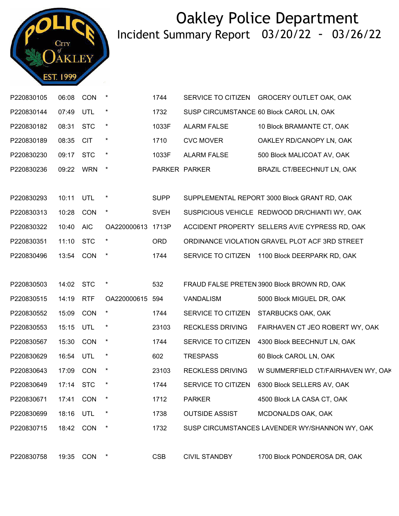

| P220830105 | 06:08     | <b>CON</b>  | $\ast$            | 1744        |                         | SERVICE TO CITIZEN GROCERY OUTLET OAK, OAK     |
|------------|-----------|-------------|-------------------|-------------|-------------------------|------------------------------------------------|
| P220830144 | 07:49     | <b>UTL</b>  | $\ast$            | 1732        |                         | SUSP CIRCUMSTANCE 60 Block CAROL LN, OAK       |
| P220830182 | 08:31     | <b>STC</b>  | $\star$           | 1033F       | <b>ALARM FALSE</b>      | 10 Block BRAMANTE CT, OAK                      |
| P220830189 | 08:35     | <b>CIT</b>  | $\star$           | 1710        | <b>CVC MOVER</b>        | OAKLEY RD/CANOPY LN, OAK                       |
| P220830230 | 09:17 STC |             | $\star$           | 1033F       | <b>ALARM FALSE</b>      | 500 Block MALICOAT AV, OAK                     |
| P220830236 | 09:22 WRN |             | $\star$           |             | PARKER PARKER           | BRAZIL CT/BEECHNUT LN, OAK                     |
|            |           |             |                   |             |                         |                                                |
| P220830293 | 10:11     | <b>UTL</b>  | $\ast$            | <b>SUPP</b> |                         | SUPPLEMENTAL REPORT 3000 Block GRANT RD, OAK   |
| P220830313 | 10:28     | <b>CON</b>  | $\star$           | <b>SVEH</b> |                         | SUSPICIOUS VEHICLE REDWOOD DR/CHIANTI WY, OAK  |
| P220830322 | 10:40     | <b>AIC</b>  | OA220000613 1713P |             |                         | ACCIDENT PROPERTY SELLERS AV/E CYPRESS RD, OAK |
| P220830351 | 11:10 STC |             | $\star$           | <b>ORD</b>  |                         | ORDINANCE VIOLATION GRAVEL PLOT ACF 3RD STREET |
| P220830496 | 13:54 CON |             | $\star$           | 1744        |                         | SERVICE TO CITIZEN 1100 Block DEERPARK RD, OAK |
|            |           |             |                   |             |                         |                                                |
| P220830503 | 14:02     | <b>STC</b>  | $\ast$            | 532         |                         | FRAUD FALSE PRETEN 3900 Block BROWN RD, OAK    |
| P220830515 | 14:19     | <b>RTF</b>  | OA220000615       | 594         | <b>VANDALISM</b>        | 5000 Block MIGUEL DR, OAK                      |
| P220830552 | 15:09     | CON         | $\ast$            | 1744        | SERVICE TO CITIZEN      | STARBUCKS OAK, OAK                             |
| P220830553 | 15:15     | UTL         | $\ast$            | 23103       | <b>RECKLESS DRIVING</b> | FAIRHAVEN CT JEO ROBERT WY, OAK                |
| P220830567 | 15:30     | <b>CON</b>  | $\star$           | 1744        | SERVICE TO CITIZEN      | 4300 Block BEECHNUT LN, OAK                    |
| P220830629 | 16:54     | UTL         | $\ast$            | 602         | <b>TRESPASS</b>         | 60 Block CAROL LN, OAK                         |
| P220830643 | 17:09 CON |             | $\ast$            | 23103       | <b>RECKLESS DRIVING</b> | W SUMMERFIELD CT/FAIRHAVEN WY, OAK             |
| P220830649 | 17:14     | <b>STC</b>  | $\ast$            | 1744        | SERVICE TO CITIZEN      | 6300 Block SELLERS AV, OAK                     |
| P220830671 | 17:41     | <b>CON</b>  |                   | 1712        | <b>PARKER</b>           | 4500 Block LA CASA CT, OAK                     |
| P220830699 | 18:16     | UTL         |                   | 1738        | <b>OUTSIDE ASSIST</b>   | MCDONALDS OAK, OAK                             |
| P220830715 | 18:42     | <b>CON</b>  | $\ast$            | 1732        |                         | SUSP CIRCUMSTANCES LAVENDER WY/SHANNON WY, OAK |
|            |           |             |                   |             |                         |                                                |
| P220830758 |           | 19:35 CON * |                   | <b>CSB</b>  | <b>CIVIL STANDBY</b>    | 1700 Block PONDEROSA DR, OAK                   |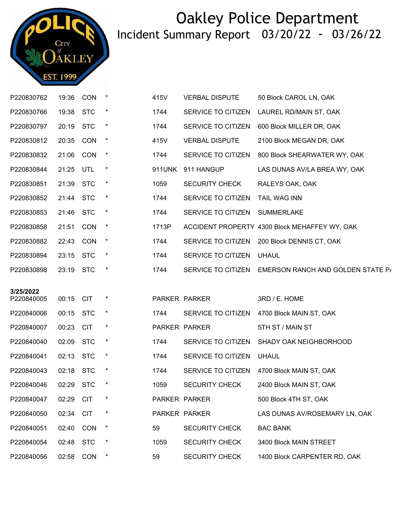

| P220830762 | 19:36     | <b>CON</b> | $\ast$   | 415V  | <b>VERBAL DISPUTE</b>    | 50 Block CAROL LN, OAK                               |
|------------|-----------|------------|----------|-------|--------------------------|------------------------------------------------------|
| P220830766 | 19:38     | <b>STC</b> |          | 1744  | SERVICE TO CITIZEN       | LAUREL RD/MAIN ST, OAK                               |
| P220830797 | 20:19 STC |            | $\star$  | 1744  | SERVICE TO CITIZEN       | 600 Block MILLER DR, OAK                             |
| P220830812 | 20:35     | CON        | $\star$  | 415V  | <b>VERBAL DISPUTE</b>    | 2100 Block MEGAN DR, OAK                             |
| P220830832 | 21:06     | <b>CON</b> | $\star$  | 1744  | SERVICE TO CITIZEN       | 800 Block SHEARWATER WY, OAK                         |
| P220830844 | 21:25 UTL |            | $^\star$ |       | 911UNK 911 HANGUP        | LAS DUNAS AV/LA BREA WY, OAK                         |
| P220830851 | 21:39 STC |            | $\star$  | 1059  | <b>SECURITY CHECK</b>    | RALEYS OAK, OAK                                      |
| P220830852 | 21:44     | <b>STC</b> | $\ast$   | 1744  | SERVICE TO CITIZEN       | TAIL WAG INN                                         |
| P220830853 | 21:46 STC |            | $\ast$   | 1744  | SERVICE TO CITIZEN       | <b>SUMMERLAKE</b>                                    |
| P220830858 | 21:51     | <b>CON</b> | $\star$  | 1713P |                          | ACCIDENT PROPERTY 4300 Block MEHAFFEY WY, OAK        |
| P220830882 | 22:43     | <b>CON</b> | $\star$  | 1744  |                          | SERVICE TO CITIZEN 200 Block DENNIS CT, OAK          |
| P220830894 | 23:15 STC |            | $^\star$ | 1744  | SERVICE TO CITIZEN UHAUL |                                                      |
| P220830898 | 23:19 STC |            | $\star$  | 1744  |                          | SERVICE TO CITIZEN EMERSON RANCH AND GOLDEN STATE P/ |
| 3/25/2022  |           |            |          |       |                          |                                                      |
| P220840005 | 00:15 CIT |            |          |       | PARKER PARKER            | 3RD / E. HOME                                        |
| P220840006 | 00:15     | <b>STC</b> | $^\star$ | 1744  | SERVICE TO CITIZEN       | 4700 Block MAIN ST, OAK                              |
| P220840007 | 00:23     | <b>CIT</b> | $\star$  |       | PARKER PARKER            | 5TH ST / MAIN ST                                     |
| P220840040 | 02:09     | <b>STC</b> | $\star$  | 1744  | SERVICE TO CITIZEN       | SHADY OAK NEIGHBORHOOD                               |
| P220840041 | 02:13 STC |            | $\star$  | 1744  | SERVICE TO CITIZEN       | <b>UHAUL</b>                                         |
| P220840043 | 02:18 STC |            | $\star$  | 1744  | SERVICE TO CITIZEN       | 4700 Block MAIN ST, OAK                              |
| P220840046 | 02:29 STC |            | $\ast$   | 1059  | <b>SECURITY CHECK</b>    | 2400 Block MAIN ST, OAK                              |
| P220840047 | 02:29     | <b>CIT</b> |          |       | PARKER PARKER            | 500 Block 4TH ST, OAK                                |
| P220840050 | 02:34     | <b>CIT</b> | $\ast$   |       | PARKER PARKER            | LAS DUNAS AV/ROSEMARY LN, OAK                        |
| P220840051 | 02:40     | <b>CON</b> | $^\star$ | 59    | <b>SECURITY CHECK</b>    | <b>BAC BANK</b>                                      |
| P220840054 | 02:48     | <b>STC</b> |          | 1059  | <b>SECURITY CHECK</b>    | 3400 Block MAIN STREET                               |
|            |           |            |          |       |                          |                                                      |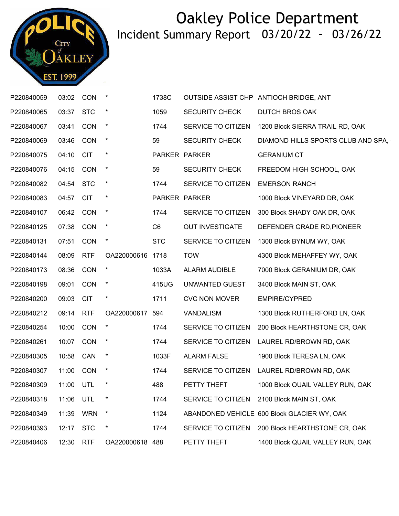

| P220840059 | 03:02 CON |            |                  | 1738C          |                        | OUTSIDE ASSIST CHP ANTIOCH BRIDGE, ANT      |
|------------|-----------|------------|------------------|----------------|------------------------|---------------------------------------------|
| P220840065 | 03:37     | <b>STC</b> | $^\star$         | 1059           | <b>SECURITY CHECK</b>  | <b>DUTCH BROS OAK</b>                       |
| P220840067 | 03:41     | <b>CON</b> | $\star$          | 1744           | SERVICE TO CITIZEN     | 1200 Block SIERRA TRAIL RD, OAK             |
| P220840069 | 03:46 CON |            | $\star$          | 59             | <b>SECURITY CHECK</b>  | DIAMOND HILLS SPORTS CLUB AND SPA,          |
| P220840075 | 04:10 CIT |            | $\star$          |                | PARKER PARKER          | <b>GERANIUM CT</b>                          |
| P220840076 | 04:15 CON |            | $\star$          | 59             | <b>SECURITY CHECK</b>  | FREEDOM HIGH SCHOOL, OAK                    |
| P220840082 | 04:54 STC |            | $\star$          | 1744           | SERVICE TO CITIZEN     | <b>EMERSON RANCH</b>                        |
| P220840083 | 04:57     | <b>CIT</b> | $\star$          |                | PARKER PARKER          | 1000 Block VINEYARD DR, OAK                 |
| P220840107 | 06:42 CON |            | $\star$          | 1744           | SERVICE TO CITIZEN     | 300 Block SHADY OAK DR, OAK                 |
| P220840125 | 07:38 CON |            | $\star$          | C <sub>6</sub> | <b>OUT INVESTIGATE</b> | DEFENDER GRADE RD, PIONEER                  |
| P220840131 | 07:51     | <b>CON</b> | $\star$          | <b>STC</b>     | SERVICE TO CITIZEN     | 1300 Block BYNUM WY, OAK                    |
| P220840144 | 08:09     | <b>RTF</b> | OA220000616 1718 |                | <b>TOW</b>             | 4300 Block MEHAFFEY WY, OAK                 |
| P220840173 | 08:36 CON |            | $\star$          | 1033A          | ALARM AUDIBLE          | 7000 Block GERANIUM DR, OAK                 |
| P220840198 | 09:01     | CON        | $\star$          | 415UG          | UNWANTED GUEST         | 3400 Block MAIN ST, OAK                     |
| P220840200 | 09:03 CIT |            | $\star$          | 1711           | <b>CVC NON MOVER</b>   | <b>EMPIRE/CYPRED</b>                        |
| P220840212 | 09:14 RTF |            | OA220000617 594  |                | VANDALISM              | 1300 Block RUTHERFORD LN, OAK               |
| P220840254 | 10:00     | CON        | $\star$          | 1744           | SERVICE TO CITIZEN     | 200 Block HEARTHSTONE CR, OAK               |
| P220840261 | 10:07     | <b>CON</b> | $\mathbf{\star}$ | 1744           | SERVICE TO CITIZEN     | LAUREL RD/BROWN RD, OAK                     |
| P220840305 | 10:58 CAN |            | $\star$          | 1033F          | <b>ALARM FALSE</b>     | 1900 Block TERESA LN, OAK                   |
| P220840307 | 11:00 CON |            | $\star$          | 1744           | SERVICE TO CITIZEN     | LAUREL RD/BROWN RD, OAK                     |
| P220840309 | 11:00 UTL |            | $\ast$           | 488            | PETTY THEFT            | 1000 Block QUAIL VALLEY RUN, OAK            |
| P220840318 | 11:06 UTL |            |                  | 1744           |                        | SERVICE TO CITIZEN 2100 Block MAIN ST, OAK  |
| P220840349 | 11:39     | <b>WRN</b> |                  | 1124           |                        | ABANDONED VEHICLE 600 Block GLACIER WY, OAK |
| P220840393 | 12:17     | <b>STC</b> |                  | 1744           | SERVICE TO CITIZEN     | 200 Block HEARTHSTONE CR, OAK               |
| P220840406 | 12:30     | <b>RTF</b> | OA220000618 488  |                | PETTY THEFT            | 1400 Block QUAIL VALLEY RUN, OAK            |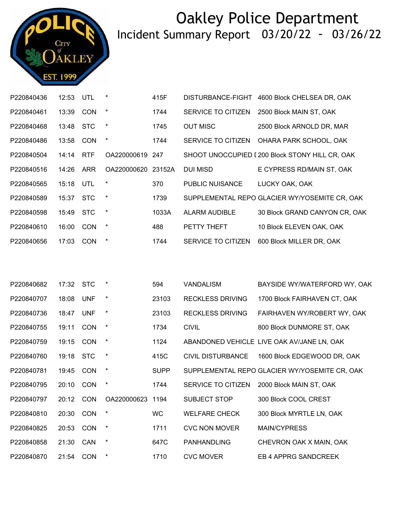

| P220840436 | 12:53 | UTL        | $\ast$           | 415F        | DISTURBANCE-FIGHT        | 4600 Block CHELSEA DR, OAK                      |
|------------|-------|------------|------------------|-------------|--------------------------|-------------------------------------------------|
| P220840461 | 13:39 | <b>CON</b> | $\star$          | 1744        | SERVICE TO CITIZEN       | 2500 Block MAIN ST, OAK                         |
| P220840468 | 13:48 | <b>STC</b> | $\star$          | 1745        | <b>OUT MISC</b>          | 2500 Block ARNOLD DR, MAR                       |
| P220840486 | 13:58 | CON        | $\star$          | 1744        | SERVICE TO CITIZEN       | OHARA PARK SCHOOL, OAK                          |
| P220840504 | 14:14 | <b>RTF</b> | OA220000619 247  |             |                          | SHOOT UNOCCUPIED I 200 Block STONY HILL CR, OAK |
| P220840516 | 14:26 | <b>ARR</b> | OA220000620      | 23152A      | DUI MISD                 | E CYPRESS RD/MAIN ST, OAK                       |
| P220840565 | 15:18 | UTL        | $\ast$           | 370         | PUBLIC NUISANCE          | LUCKY OAK, OAK                                  |
| P220840589 | 15:37 | <b>STC</b> | $\star$          | 1739        |                          | SUPPLEMENTAL REPO GLACIER WY/YOSEMITE CR, OAK   |
| P220840598 | 15:49 | <b>STC</b> | $\star$          | 1033A       | ALARM AUDIBLE            | 30 Block GRAND CANYON CR, OAK                   |
| P220840610 | 16:00 | <b>CON</b> | $\star$          | 488         | PETTY THEFT              | 10 Block ELEVEN OAK, OAK                        |
| P220840656 | 17:03 | <b>CON</b> | $\star$          | 1744        | SERVICE TO CITIZEN       | 600 Block MILLER DR, OAK                        |
|            |       |            |                  |             |                          |                                                 |
|            |       |            |                  |             |                          |                                                 |
| P220840682 | 17:32 | <b>STC</b> | $\star$          | 594         | <b>VANDALISM</b>         | BAYSIDE WY/WATERFORD WY, OAK                    |
| P220840707 | 18:08 | <b>UNF</b> | $\star$          | 23103       | <b>RECKLESS DRIVING</b>  | 1700 Block FAIRHAVEN CT, OAK                    |
| P220840736 | 18:47 | <b>UNF</b> | $\star$          | 23103       | <b>RECKLESS DRIVING</b>  | FAIRHAVEN WY/ROBERT WY, OAK                     |
| P220840755 | 19:11 | <b>CON</b> | $\star$          | 1734        | <b>CIVIL</b>             | 800 Block DUNMORE ST, OAK                       |
| P220840759 | 19:15 | <b>CON</b> | $\star$          | 1124        |                          | ABANDONED VEHICLE LIVE OAK AV/JANE LN, OAK      |
| P220840760 | 19:18 | <b>STC</b> | $\ast$           | 415C        | <b>CIVIL DISTURBANCE</b> | 1600 Block EDGEWOOD DR, OAK                     |
| P220840781 | 19:45 | CON        | $\star$          | <b>SUPP</b> |                          | SUPPLEMENTAL REPO GLACIER WY/YOSEMITE CR, OAK   |
| P220840795 | 20:10 | <b>CON</b> | $\star$          | 1744        |                          | SERVICE TO CITIZEN 2000 Block MAIN ST, OAK      |
| P220840797 | 20:12 | <b>CON</b> | OA220000623 1194 |             | <b>SUBJECT STOP</b>      | 300 Block COOL CREST                            |
| P220840810 | 20:30 | <b>CON</b> | $\ast$           | <b>WC</b>   | <b>WELFARE CHECK</b>     | 300 Block MYRTLE LN, OAK                        |
| P220840825 | 20:53 | CON        | $\ast$           | 1711        | <b>CVC NON MOVER</b>     | <b>MAIN/CYPRESS</b>                             |
| P220840858 | 21:30 | CAN        | $\ast$           | 647C        | <b>PANHANDLING</b>       | CHEVRON OAK X MAIN, OAK                         |
| P220840870 | 21:54 | CON        | $\ast$           | 1710        | <b>CVC MOVER</b>         | EB 4 APPRG SANDCREEK                            |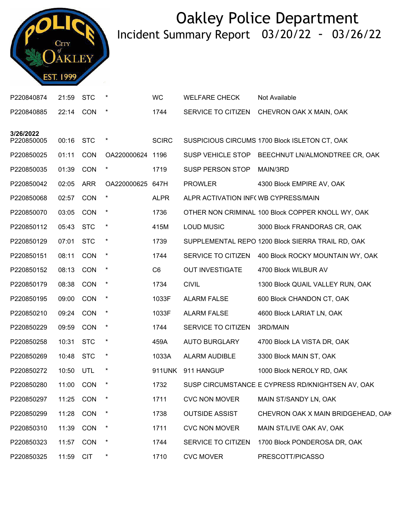

| P220840874 | 21:59 | <b>STC</b> | $^\ast$          | WC             | <b>WELFARE CHECK</b>                | Not Available                                     |
|------------|-------|------------|------------------|----------------|-------------------------------------|---------------------------------------------------|
| P220840885 | 22:14 | <b>CON</b> | $\ast$           | 1744           | SERVICE TO CITIZEN                  | CHEVRON OAK X MAIN, OAK                           |
| 3/26/2022  |       |            |                  |                |                                     |                                                   |
| P220850005 | 00:16 | <b>STC</b> | $\ast$           | <b>SCIRC</b>   |                                     | SUSPICIOUS CIRCUMS 1700 Block ISLETON CT, OAK     |
| P220850025 | 01:11 | <b>CON</b> | OA220000624 1196 |                |                                     | SUSP VEHICLE STOP BEECHNUT LN/ALMONDTREE CR, OAK  |
| P220850035 | 01:39 | <b>CON</b> | $\ast$           | 1719           | SUSP PERSON STOP                    | MAIN/3RD                                          |
| P220850042 | 02:05 | <b>ARR</b> | OA220000625      | 647H           | <b>PROWLER</b>                      | 4300 Block EMPIRE AV, OAK                         |
| P220850068 | 02:57 | <b>CON</b> | $\ast$           | <b>ALPR</b>    | ALPR ACTIVATION INF(WB CYPRESS/MAIN |                                                   |
| P220850070 | 03:05 | <b>CON</b> | $\ast$           | 1736           |                                     | OTHER NON CRIMINAL 100 Block COPPER KNOLL WY, OAK |
| P220850112 | 05:43 | <b>STC</b> | $\ast$           | 415M           | <b>LOUD MUSIC</b>                   | 3000 Block FRANDORAS CR, OAK                      |
| P220850129 | 07:01 | <b>STC</b> | $\star$          | 1739           |                                     | SUPPLEMENTAL REPO 1200 Block SIERRA TRAIL RD, OAK |
| P220850151 | 08:11 | <b>CON</b> | $^\star$         | 1744           | SERVICE TO CITIZEN                  | 400 Block ROCKY MOUNTAIN WY, OAK                  |
| P220850152 | 08:13 | <b>CON</b> | $\ast$           | C <sub>6</sub> | <b>OUT INVESTIGATE</b>              | 4700 Block WILBUR AV                              |
| P220850179 | 08:38 | <b>CON</b> | $\ast$           | 1734           | <b>CIVIL</b>                        | 1300 Block QUAIL VALLEY RUN, OAK                  |
| P220850195 | 09:00 | <b>CON</b> | $\star$          | 1033F          | <b>ALARM FALSE</b>                  | 600 Block CHANDON CT, OAK                         |
| P220850210 | 09:24 | <b>CON</b> | $\ast$           | 1033F          | <b>ALARM FALSE</b>                  | 4600 Block LARIAT LN, OAK                         |
| P220850229 | 09:59 | <b>CON</b> | $\ast$           | 1744           | SERVICE TO CITIZEN                  | 3RD/MAIN                                          |
| P220850258 | 10:31 | <b>STC</b> | $\star$          | 459A           | <b>AUTO BURGLARY</b>                | 4700 Block LA VISTA DR, OAK                       |
| P220850269 | 10:48 | <b>STC</b> | $\ast$           | 1033A          | <b>ALARM AUDIBLE</b>                | 3300 Block MAIN ST, OAK                           |
| P220850272 | 10:50 | UTL        | $\ast$           | 911UNK         | 911 HANGUP                          | 1000 Block NEROLY RD, OAK                         |
| P220850280 | 11:00 | <b>CON</b> | $\ast$           | 1732           |                                     | SUSP CIRCUMSTANCE E CYPRESS RD/KNIGHTSEN AV, OAK  |
| P220850297 | 11:25 | <b>CON</b> | $\ast$           | 1711           | <b>CVC NON MOVER</b>                | MAIN ST/SANDY LN, OAK                             |
| P220850299 | 11:28 | CON        | $\ast$           | 1738           | <b>OUTSIDE ASSIST</b>               | CHEVRON OAK X MAIN BRIDGEHEAD, OAK                |
| P220850310 | 11:39 | CON        | $\ast$           | 1711           | <b>CVC NON MOVER</b>                | MAIN ST/LIVE OAK AV, OAK                          |
| P220850323 | 11:57 | <b>CON</b> | $\ast$           | 1744           | SERVICE TO CITIZEN                  | 1700 Block PONDEROSA DR, OAK                      |
| P220850325 | 11:59 | <b>CIT</b> | $\ast$           | 1710           | <b>CVC MOVER</b>                    | PRESCOTT/PICASSO                                  |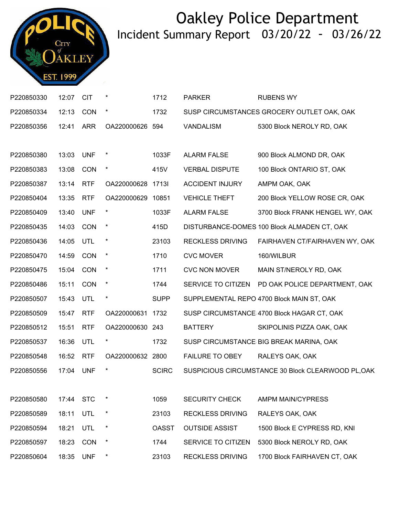

| P220850330 | 12:07 | <b>CIT</b> |                   | 1712         | <b>PARKER</b>           | <b>RUBENS WY</b>                                   |
|------------|-------|------------|-------------------|--------------|-------------------------|----------------------------------------------------|
| P220850334 | 12:13 | <b>CON</b> | $\star$           | 1732         |                         | SUSP CIRCUMSTANCES GROCERY OUTLET OAK, OAK         |
| P220850356 | 12:41 | <b>ARR</b> | OA220000626 594   |              | <b>VANDALISM</b>        | 5300 Block NEROLY RD, OAK                          |
|            |       |            |                   |              |                         |                                                    |
| P220850380 | 13:03 | <b>UNF</b> | $\ast$            | 1033F        | <b>ALARM FALSE</b>      | 900 Block ALMOND DR, OAK                           |
| P220850383 | 13:08 | <b>CON</b> | $\ast$            | 415V         | <b>VERBAL DISPUTE</b>   | 100 Block ONTARIO ST, OAK                          |
| P220850387 | 13:14 | <b>RTF</b> | OA220000628 1713I |              | <b>ACCIDENT INJURY</b>  | AMPM OAK, OAK                                      |
| P220850404 | 13:35 | <b>RTF</b> | OA220000629       | 10851        | <b>VEHICLE THEFT</b>    | 200 Block YELLOW ROSE CR, OAK                      |
| P220850409 | 13:40 | <b>UNF</b> | $\star$           | 1033F        | <b>ALARM FALSE</b>      | 3700 Block FRANK HENGEL WY, OAK                    |
| P220850435 | 14:03 | <b>CON</b> | $\ast$            | 415D         |                         | DISTURBANCE-DOMES 100 Block ALMADEN CT, OAK        |
| P220850436 | 14:05 | UTL        | $\star$           | 23103        | <b>RECKLESS DRIVING</b> | FAIRHAVEN CT/FAIRHAVEN WY, OAK                     |
| P220850470 | 14:59 | CON        | $\star$           | 1710         | <b>CVC MOVER</b>        | 160/WILBUR                                         |
| P220850475 | 15:04 | CON        | $\ast$            | 1711         | <b>CVC NON MOVER</b>    | MAIN ST/NEROLY RD, OAK                             |
| P220850486 | 15:11 | <b>CON</b> | $\star$           | 1744         | SERVICE TO CITIZEN      | PD OAK POLICE DEPARTMENT, OAK                      |
| P220850507 | 15:43 | UTL        | $\star$           | <b>SUPP</b>  |                         | SUPPLEMENTAL REPO 4700 Block MAIN ST, OAK          |
| P220850509 | 15:47 | <b>RTF</b> | OA220000631       | 1732         |                         | SUSP CIRCUMSTANCE 4700 Block HAGAR CT, OAK         |
| P220850512 | 15:51 | <b>RTF</b> | OA220000630 243   |              | <b>BATTERY</b>          | SKIPOLINIS PIZZA OAK, OAK                          |
| P220850537 | 16:36 | <b>UTL</b> | $\ast$            | 1732         |                         | SUSP CIRCUMSTANCE BIG BREAK MARINA, OAK            |
| P220850548 | 16:52 | <b>RTF</b> | OA220000632 2800  |              | <b>FAILURE TO OBEY</b>  | RALEYS OAK, OAK                                    |
| P220850556 | 17:04 | <b>UNF</b> | $\ast$            | <b>SCIRC</b> |                         | SUSPICIOUS CIRCUMSTANCE 30 Block CLEARWOOD PL, OAK |
|            |       |            |                   |              |                         |                                                    |
| P220850580 | 17:44 | <b>STC</b> |                   | 1059         | <b>SECURITY CHECK</b>   | AMPM MAIN/CYPRESS                                  |
| P220850589 | 18:11 | UTL        | $\ast$            | 23103        | <b>RECKLESS DRIVING</b> | RALEYS OAK, OAK                                    |
| P220850594 | 18:21 | UTL        | $\ast$            | <b>OASST</b> | <b>OUTSIDE ASSIST</b>   | 1500 Block E CYPRESS RD, KNI                       |
| P220850597 | 18:23 | <b>CON</b> | $\ast$            | 1744         | SERVICE TO CITIZEN      | 5300 Block NEROLY RD, OAK                          |
| P220850604 | 18:35 | <b>UNF</b> | $\ast$            | 23103        | <b>RECKLESS DRIVING</b> | 1700 Block FAIRHAVEN CT, OAK                       |